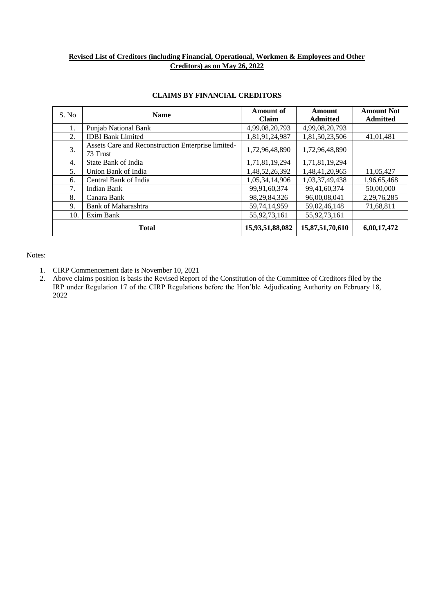### **Revised List of Creditors (including Financial, Operational, Workmen & Employees and Other Creditors) as on May 26, 2022**

| S. No | <b>Name</b>                                                    | <b>Amount of</b><br>Claim | <b>Amount</b><br><b>Admitted</b> | <b>Amount Not</b><br><b>Admitted</b> |
|-------|----------------------------------------------------------------|---------------------------|----------------------------------|--------------------------------------|
| 1.    | <b>Punjab National Bank</b>                                    | 4,99,08,20,793            | 4,99,08,20,793                   |                                      |
| 2.    | <b>IDBI</b> Bank Limited                                       | 1,81,91,24,987            | 1,81,50,23,506                   | 41,01,481                            |
| 3.    | Assets Care and Reconstruction Enterprise limited-<br>73 Trust | 1,72,96,48,890            | 1,72,96,48,890                   |                                      |
| 4.    | State Bank of India                                            | 1,71,81,19,294            | 1,71,81,19,294                   |                                      |
| 5.    | Union Bank of India                                            | 1,48,52,26,392            | 1,48,41,20,965                   | 11,05,427                            |
| 6.    | Central Bank of India                                          | 1,05,34,14,906            | 1,03,37,49,438                   | 1,96,65,468                          |
| 7.    | <b>Indian Bank</b>                                             | 99,91,60,374              | 99,41,60,374                     | 50,00,000                            |
| 8.    | Canara Bank                                                    | 98,29,84,326              | 96,00,08,041                     | 2,29,76,285                          |
| 9.    | <b>Bank of Maharashtra</b>                                     | 59,74,14,959              | 59,02,46,148                     | 71,68,811                            |
| 10.   | Exim Bank                                                      | 55,92,73,161              | 55,92,73,161                     |                                      |
|       | <b>Total</b>                                                   | 15,93,51,88,082           | 15,87,51,70,610                  | 6,00,17,472                          |

#### **CLAIMS BY FINANCIAL CREDITORS**

- 1. CIRP Commencement date is November 10, 2021
- 2. Above claims position is basis the Revised Report of the Constitution of the Committee of Creditors filed by the IRP under Regulation 17 of the CIRP Regulations before the Hon'ble Adjudicating Authority on February 18, 2022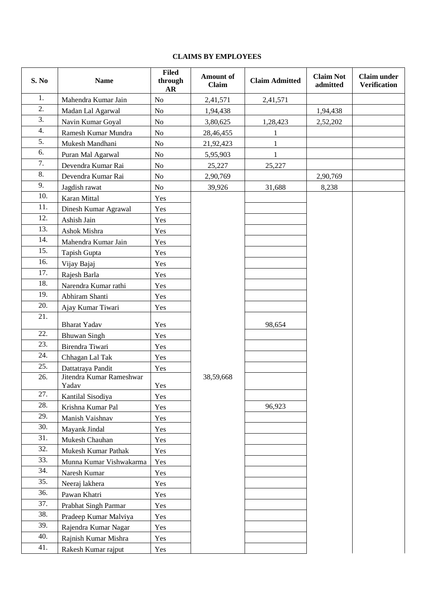## **CLAIMS BY EMPLOYEES**

| <b>S. No</b> | <b>Name</b>                       | <b>Filed</b><br>through<br>AR | Amount of<br>Claim | <b>Claim Admitted</b> | <b>Claim Not</b><br>admitted | <b>Claim under</b><br><b>Verification</b> |
|--------------|-----------------------------------|-------------------------------|--------------------|-----------------------|------------------------------|-------------------------------------------|
| 1.           | Mahendra Kumar Jain               | N <sub>o</sub>                | 2,41,571           | 2,41,571              |                              |                                           |
| 2.           | Madan Lal Agarwal                 | No                            | 1,94,438           |                       | 1,94,438                     |                                           |
| 3.           | Navin Kumar Goyal                 | No                            | 3,80,625           | 1,28,423              | 2,52,202                     |                                           |
| 4.           | Ramesh Kumar Mundra               | No                            | 28,46,455          | 1                     |                              |                                           |
| 5.           | Mukesh Mandhani                   | No                            | 21,92,423          | 1                     |                              |                                           |
| 6.           | Puran Mal Agarwal                 | No                            | 5,95,903           | $\mathbf{1}$          |                              |                                           |
| 7.           | Devendra Kumar Rai                | No                            | 25,227             | 25,227                |                              |                                           |
| 8.           | Devendra Kumar Rai                | No                            | 2,90,769           |                       | 2,90,769                     |                                           |
| 9.           | Jagdish rawat                     | No                            | 39,926             | 31,688                | 8,238                        |                                           |
| 10.          | Karan Mittal                      | Yes                           |                    |                       |                              |                                           |
| 11.          | Dinesh Kumar Agrawal              | Yes                           |                    |                       |                              |                                           |
| 12.          | Ashish Jain                       | Yes                           |                    |                       |                              |                                           |
| 13.          | Ashok Mishra                      | Yes                           |                    |                       |                              |                                           |
| 14.          | Mahendra Kumar Jain               | Yes                           |                    |                       |                              |                                           |
| 15.          | Tapish Gupta                      | Yes                           |                    |                       |                              |                                           |
| 16.          | Vijay Bajaj                       | Yes                           |                    |                       |                              |                                           |
| 17.          | Rajesh Barla                      | Yes                           |                    |                       |                              |                                           |
| 18.          | Narendra Kumar rathi              | Yes                           |                    |                       |                              |                                           |
| 19.          | Abhiram Shanti                    | Yes                           |                    |                       |                              |                                           |
| 20.          | Ajay Kumar Tiwari                 | Yes                           |                    |                       |                              |                                           |
| 21.          | <b>Bharat Yadav</b>               | Yes                           |                    | 98,654                |                              |                                           |
| 22.          | <b>Bhuwan Singh</b>               | Yes                           |                    |                       |                              |                                           |
| 23.          | Birendra Tiwari                   | Yes                           |                    |                       |                              |                                           |
| 24.          | Chhagan Lal Tak                   | Yes                           |                    |                       |                              |                                           |
| 25.          | Dattatraya Pandit                 | Yes                           |                    |                       |                              |                                           |
| 26.          | Jitendra Kumar Rameshwar<br>Yadav | Yes                           | 38,59,668          |                       |                              |                                           |
| 27.          | Kantilal Sisodiya                 | Yes                           |                    |                       |                              |                                           |
| 28.          | Krishna Kumar Pal                 | Yes                           |                    | 96,923                |                              |                                           |
| 29.          | Manish Vaishnav                   | Yes                           |                    |                       |                              |                                           |
| 30.          | Mayank Jindal                     | Yes                           |                    |                       |                              |                                           |
| 31.          | Mukesh Chauhan                    | Yes                           |                    |                       |                              |                                           |
| 32.          | Mukesh Kumar Pathak               | Yes                           |                    |                       |                              |                                           |
| 33.          | Munna Kumar Vishwakarma           | Yes                           |                    |                       |                              |                                           |
| 34.          | Naresh Kumar                      | Yes                           |                    |                       |                              |                                           |
| 35.          | Neeraj lakhera                    | Yes                           |                    |                       |                              |                                           |
| 36.          | Pawan Khatri                      | Yes                           |                    |                       |                              |                                           |
| 37.          | Prabhat Singh Parmar              | Yes                           |                    |                       |                              |                                           |
| 38.          | Pradeep Kumar Malviya             | Yes                           |                    |                       |                              |                                           |
| 39.          | Rajendra Kumar Nagar              | Yes                           |                    |                       |                              |                                           |
| 40.          | Rajnish Kumar Mishra              | Yes                           |                    |                       |                              |                                           |
| 41.          | Rakesh Kumar rajput               | Yes                           |                    |                       |                              |                                           |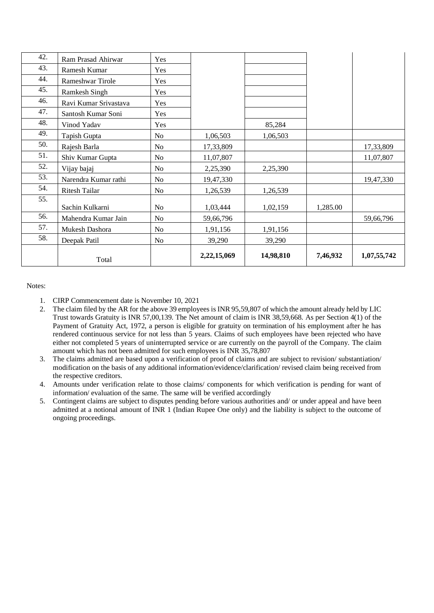| 42. | Ram Prasad Ahirwar    | Yes            |             |           |          |             |
|-----|-----------------------|----------------|-------------|-----------|----------|-------------|
| 43. | Ramesh Kumar          | Yes            |             |           |          |             |
| 44. | Rameshwar Tirole      | Yes            |             |           |          |             |
| 45. | <b>Ramkesh Singh</b>  | Yes            |             |           |          |             |
| 46. | Ravi Kumar Srivastava | Yes            |             |           |          |             |
| 47. | Santosh Kumar Soni    | Yes            |             |           |          |             |
| 48. | Vinod Yadav           | Yes            |             | 85,284    |          |             |
| 49. | Tapish Gupta          | No             | 1,06,503    | 1,06,503  |          |             |
| 50. | Rajesh Barla          | No             | 17,33,809   |           |          | 17,33,809   |
| 51. | Shiv Kumar Gupta      | No             | 11,07,807   |           |          | 11,07,807   |
| 52. | Vijay bajaj           | N <sub>o</sub> | 2,25,390    | 2,25,390  |          |             |
| 53. | Narendra Kumar rathi  | No             | 19,47,330   |           |          | 19,47,330   |
| 54. | Ritesh Tailar         | N <sub>0</sub> | 1,26,539    | 1,26,539  |          |             |
| 55. | Sachin Kulkarni       | N <sub>o</sub> | 1,03,444    | 1,02,159  | 1,285.00 |             |
| 56. | Mahendra Kumar Jain   | No             | 59,66,796   |           |          | 59,66,796   |
| 57. | Mukesh Dashora        | N <sub>o</sub> | 1,91,156    | 1,91,156  |          |             |
| 58. | Deepak Patil          | N <sub>o</sub> | 39,290      | 39,290    |          |             |
|     | Total                 |                | 2,22,15,069 | 14,98,810 | 7,46,932 | 1,07,55,742 |

- 1. CIRP Commencement date is November 10, 2021
- 2. The claim filed by the AR for the above 39 employees is INR 95,59,807 of which the amount already held by LIC Trust towards Gratuity is INR 57,00,139. The Net amount of claim is INR 38,59,668. As per Section 4(1) of the Payment of Gratuity Act, 1972, a person is eligible for gratuity on termination of his employment after he has rendered continuous service for not less than 5 years. Claims of such employees have been rejected who have either not completed 5 years of uninterrupted service or are currently on the payroll of the Company. The claim amount which has not been admitted for such employees is INR 35,78,807
- 3. The claims admitted are based upon a verification of proof of claims and are subject to revision/ substantiation/ modification on the basis of any additional information/evidence/clarification/ revised claim being received from the respective creditors.
- 4. Amounts under verification relate to those claims/ components for which verification is pending for want of information/ evaluation of the same. The same will be verified accordingly
- 5. Contingent claims are subject to disputes pending before various authorities and/ or under appeal and have been admitted at a notional amount of INR 1 (Indian Rupee One only) and the liability is subject to the outcome of ongoing proceedings.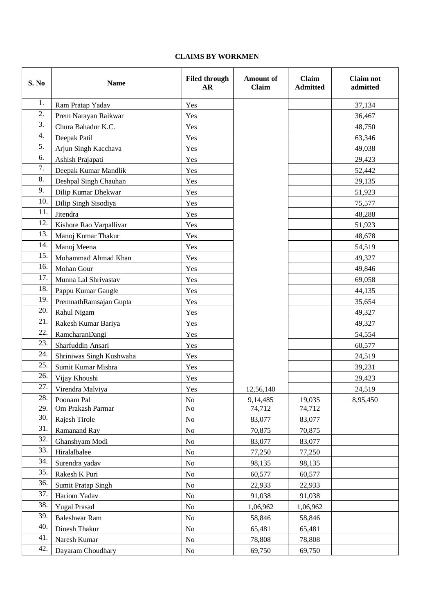## **CLAIMS BY WORKMEN**

| S. No | <b>Name</b>              | <b>Filed through</b><br>AR | <b>Amount of</b><br>Claim | <b>Claim</b><br><b>Admitted</b> | <b>Claim not</b><br>admitted |
|-------|--------------------------|----------------------------|---------------------------|---------------------------------|------------------------------|
| 1.    | Ram Pratap Yadav         | Yes                        |                           |                                 | 37,134                       |
| 2.    | Prem Narayan Raikwar     | Yes                        |                           |                                 | 36,467                       |
| 3.    | Chura Bahadur K.C.       | Yes                        |                           |                                 | 48,750                       |
| 4.    | Deepak Patil             | Yes                        |                           |                                 | 63,346                       |
| 5.    | Arjun Singh Kacchava     | Yes                        |                           |                                 | 49,038                       |
| 6.    | Ashish Prajapati         | Yes                        |                           |                                 | 29,423                       |
| 7.    | Deepak Kumar Mandlik     | Yes                        |                           |                                 | 52,442                       |
| 8.    | Deshpal Singh Chauhan    | Yes                        |                           |                                 | 29,135                       |
| 9.    | Dilip Kumar Dhekwar      | Yes                        |                           |                                 | 51,923                       |
| 10.   | Dilip Singh Sisodiya     | Yes                        |                           |                                 | 75,577                       |
| 11.   | Jitendra                 | Yes                        |                           |                                 | 48,288                       |
| 12.   | Kishore Rao Varpallivar  | Yes                        |                           |                                 | 51,923                       |
| 13.   | Manoj Kumar Thakur       | Yes                        |                           |                                 | 48,678                       |
| 14.   | Manoj Meena              | Yes                        |                           |                                 | 54,519                       |
| 15.   | Mohammad Ahmad Khan      | Yes                        |                           |                                 | 49,327                       |
| 16.   | Mohan Gour               | Yes                        |                           |                                 | 49,846                       |
| 17.   | Munna Lal Shrivastav     | Yes                        |                           |                                 | 69,058                       |
| 18.   | Pappu Kumar Gangle       | Yes                        |                           |                                 | 44,135                       |
| 19.   | PremnathRamsajan Gupta   | Yes                        |                           |                                 | 35,654                       |
| 20.   | Rahul Nigam              | Yes                        |                           |                                 | 49,327                       |
| 21.   | Rakesh Kumar Bariya      | Yes                        |                           |                                 | 49,327                       |
| 22.   | RamcharanDangi           | Yes                        |                           |                                 | 54,554                       |
| 23.   | Sharfuddin Ansari        | Yes                        |                           |                                 | 60,577                       |
| 24.   | Shriniwas Singh Kushwaha | Yes                        |                           |                                 | 24,519                       |
| 25.   | Sumit Kumar Mishra       | Yes                        |                           |                                 | 39,231                       |
| 26.   | Vijay Khoushi            | Yes                        |                           |                                 | 29,423                       |
| 27.   | Virendra Malviya         | Yes                        | 12,56,140                 |                                 | 24,519                       |
| 28.   | Poonam Pal               | No                         | 9,14,485                  | 19,035                          | 8,95,450                     |
| 29.   | Om Prakash Parmar        | No                         | 74,712                    | 74,712                          |                              |
| 30.   | Rajesh Tirole            | No                         | 83,077                    | 83,077                          |                              |
| 31.   | Ramanand Ray             | No                         | 70,875                    | 70,875                          |                              |
| 32.   | Ghanshyam Modi           | No                         | 83,077                    | 83,077                          |                              |
| 33.   | Hiralalbalee             | No                         | 77,250                    | 77,250                          |                              |
| 34.   | Surendra yadav           | No                         | 98,135                    | 98,135                          |                              |
| 35.   | Rakesh K Puri            | No                         | 60,577                    | 60,577                          |                              |
| 36.   | Sumit Pratap Singh       | No                         | 22,933                    | 22,933                          |                              |
| 37.   | Hariom Yadav             | No                         | 91,038                    | 91,038                          |                              |
| 38.   | <b>Yugal Prasad</b>      | No                         | 1,06,962                  | 1,06,962                        |                              |
| 39.   | <b>Baleshwar Ram</b>     | No                         | 58,846                    | 58,846                          |                              |
| 40.   | Dinesh Thakur            | No                         | 65,481                    | 65,481                          |                              |
| 41.   | Naresh Kumar             | No                         | 78,808                    | 78,808                          |                              |
| 42.   | Dayaram Choudhary        | No                         | 69,750                    | 69,750                          |                              |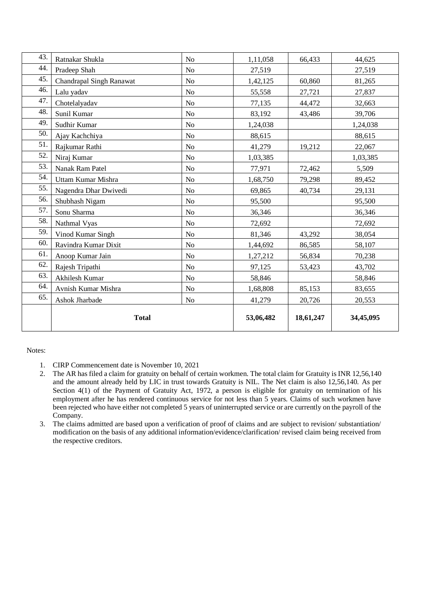| 43. | Ratnakar Shukla                 | N <sub>o</sub> | 1,11,058  | 66,433    | 44,625    |
|-----|---------------------------------|----------------|-----------|-----------|-----------|
| 44. | Pradeep Shah                    | No             | 27,519    |           | 27,519    |
| 45. | <b>Chandrapal Singh Ranawat</b> | No             | 1,42,125  | 60,860    | 81,265    |
| 46. | Lalu yadav                      | No             | 55,558    | 27,721    | 27,837    |
| 47. | Chotelalyadav                   | No             | 77,135    | 44,472    | 32,663    |
| 48. | Sunil Kumar                     | No             | 83,192    | 43,486    | 39,706    |
| 49. | Sudhir Kumar                    | N <sub>o</sub> | 1,24,038  |           | 1,24,038  |
| 50. | Ajay Kachchiya                  | N <sub>o</sub> | 88,615    |           | 88,615    |
| 51. | Rajkumar Rathi                  | No             | 41,279    | 19,212    | 22,067    |
| 52. | Niraj Kumar                     | No             | 1,03,385  |           | 1,03,385  |
| 53. | Nanak Ram Patel                 | N <sub>o</sub> | 77,971    | 72,462    | 5,509     |
| 54. | Uttam Kumar Mishra              | N <sub>o</sub> | 1,68,750  | 79,298    | 89,452    |
| 55. | Nagendra Dhar Dwivedi           | No             | 69,865    | 40,734    | 29,131    |
| 56. | Shubhash Nigam                  | N <sub>o</sub> | 95,500    |           | 95,500    |
| 57. | Sonu Sharma                     | No             | 36,346    |           | 36,346    |
| 58. | Nathmal Vyas                    | No             | 72,692    |           | 72,692    |
| 59. | Vinod Kumar Singh               | No             | 81,346    | 43,292    | 38,054    |
| 60. | Ravindra Kumar Dixit            | N <sub>0</sub> | 1,44,692  | 86,585    | 58,107    |
| 61. | Anoop Kumar Jain                | N <sub>o</sub> | 1,27,212  | 56,834    | 70,238    |
| 62. | Rajesh Tripathi                 | N <sub>o</sub> | 97,125    | 53,423    | 43,702    |
| 63. | Akhilesh Kumar                  | No             | 58,846    |           | 58,846    |
| 64. | Avnish Kumar Mishra             | No             | 1,68,808  | 85,153    | 83,655    |
| 65. | Ashok Jharbade                  | No             | 41,279    | 20,726    | 20,553    |
|     | <b>Total</b>                    |                | 53,06,482 | 18,61,247 | 34,45,095 |

- 1. CIRP Commencement date is November 10, 2021
- 2. The AR has filed a claim for gratuity on behalf of certain workmen. The total claim for Gratuity is INR 12,56,140 and the amount already held by LIC in trust towards Gratuity is NIL. The Net claim is also 12,56,140. As per Section 4(1) of the Payment of Gratuity Act, 1972, a person is eligible for gratuity on termination of his employment after he has rendered continuous service for not less than 5 years. Claims of such workmen have been rejected who have either not completed 5 years of uninterrupted service or are currently on the payroll of the Company.
- 3. The claims admitted are based upon a verification of proof of claims and are subject to revision/ substantiation/ modification on the basis of any additional information/evidence/clarification/ revised claim being received from the respective creditors.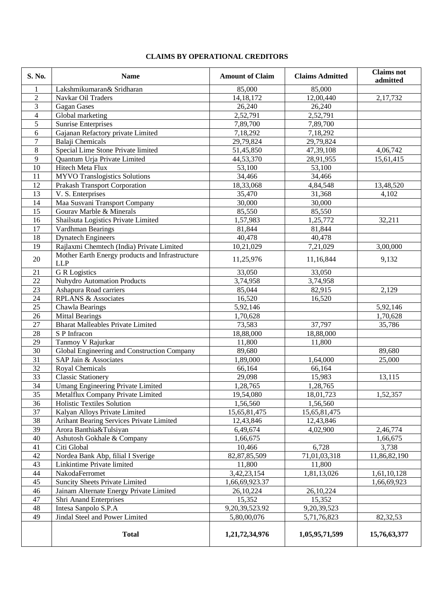# **CLAIMS BY OPERATIONAL CREDITORS**

| S. No.     | <b>Name</b>                                                   | <b>Amount of Claim</b> | <b>Claims Admitted</b> | <b>Claims</b> not<br>admitted |
|------------|---------------------------------------------------------------|------------------------|------------------------|-------------------------------|
| 1          | Lakshmikumaran& Sridharan                                     | 85,000                 | 85,000                 |                               |
| $\sqrt{2}$ | Navkar Oil Traders                                            | 14, 18, 172            | 12,00,440              | 2,17,732                      |
| 3          | <b>Gagan</b> Gases                                            | 26,240                 | 26,240                 |                               |
| 4          | Global marketing                                              | 2,52,791               | 2,52,791               |                               |
| 5          | <b>Sunrise Enterprises</b>                                    | 7,89,700               | 7,89,700               |                               |
| 6          | Gajanan Refactory private Limited                             | 7,18,292               | 7,18,292               |                               |
| $\tau$     | Balaji Chemicals                                              | 29,79,824              | 29,79,824              |                               |
| $8\,$      | Special Lime Stone Private limited                            | 51,45,850              | 47,39,108              | 4,06,742                      |
| 9          | Quantum Urja Private Limited                                  | 44,53,370              | 28,91,955              | 15,61,415                     |
| 10         | Hitech Meta Flux                                              | 53,100                 | 53,100                 |                               |
| 11         | <b>MYVO</b> Translogistics Solutions                          | 34,466                 | 34,466                 |                               |
| 12         | <b>Prakash Transport Corporation</b>                          | 18,33,068              | 4,84,548               | 13,48,520                     |
| 13         | V. S. Enterprises                                             | 35,470                 | 31,368                 | 4,102                         |
| 14         | Maa Susvani Transport Company                                 | 30,000                 | 30,000                 |                               |
| 15         | Gourav Marble & Minerals                                      | 85,550                 | 85,550                 |                               |
| 16         | Shailsuta Logistics Private Limited                           | 1,57,983               | 1,25,772               | 32,211                        |
| 17         | Vardhman Bearings                                             | 81,844                 | 81,844                 |                               |
| 18         | <b>Dynatech Engineers</b>                                     | 40,478                 | 40,478                 |                               |
| 19         | Rajlaxmi Chemtech (India) Private Limited                     | 10,21,029              | 7,21,029               | 3,00,000                      |
| 20         | Mother Earth Energy products and Infrastructure<br><b>LLP</b> | 11,25,976              | 11,16,844              | 9,132                         |
| 21         | <b>G</b> R Logistics                                          | 33,050                 | 33,050                 |                               |
| 22         | <b>Nuhydro Automation Products</b>                            | 3,74,958               | 3,74,958               |                               |
| 23         | Ashapura Road carriers                                        | 85,044                 | 82,915                 | 2,129                         |
| 24         | <b>RPLANS &amp; Associates</b>                                | 16,520                 | 16,520                 |                               |
| 25         | Chawla Bearings                                               | 5,92,146               |                        | 5,92,146                      |
| 26         | <b>Mittal Bearings</b>                                        | 1,70,628               |                        | 1,70,628                      |
| 27         | <b>Bharat Malleables Private Limited</b>                      | 73,583                 | 37,797                 | 35,786                        |
| 28         | S P Infracon                                                  | 18,88,000              | 18,88,000              |                               |
| 29         | Tanmoy V Rajurkar                                             | 11,800                 | 11,800                 |                               |
| 30         | Global Engineering and Construction Company                   | 89,680                 |                        | 89,680                        |
| 31         | SAP Jain & Associates                                         | 1,89,000               | 1,64,000               | 25,000                        |
| 32         | Royal Chemicals                                               | 66,164                 | 66,164                 |                               |
| 33         | <b>Classic Stationery</b>                                     | 29,098                 | 15,983                 | 13,115                        |
| 34         | Umang Engineering Private Limited                             | 1,28,765               | 1,28,765               |                               |
| 35         | Metalflux Company Private Limited                             | 19,54,080              | 18,01,723              | 1,52,357                      |
| 36         | Holistic Textiles Solution                                    | 1,56,560               | 1,56,560               |                               |
| 37         | Kalyan Alloys Private Limited                                 | 15,65,81,475           | 15,65,81,475           |                               |
| 38         | Arihant Bearing Services Private Limited                      | 12,43,846              | 12,43,846              |                               |
| 39         | Arora Banthia&Tulsiyan                                        | 6,49,674               | 4,02,900               | 2,46,774                      |
| 40         | Ashutosh Gokhale & Company                                    | 1,66,675               |                        | 1,66,675                      |
| 41         | Citi Global                                                   | 10,466                 | 6,728                  | 3,738                         |
| 42         | Nordea Bank Abp, filial I Sverige                             | 82, 87, 85, 509        | 71,01,03,318           | 11,86,82,190                  |
| 43         | Linkintime Private limited                                    | 11,800                 | 11,800                 |                               |
| 44         | NakodaFerromet                                                | 3, 42, 23, 154         | 1,81,13,026            | 1,61,10,128                   |
| 45         | <b>Suncity Sheets Private Limited</b>                         | 1,66,69,923.37         |                        | 1,66,69,923                   |
| 46         | Jainam Alternate Energy Private Limited                       | 26,10,224              | 26,10,224              |                               |
| 47         | Shri Anand Enterprises                                        | 15,352                 | 15,352                 |                               |
| 48         | Intesa Sanpolo S.P.A                                          | 9,20,39,523.92         | 9,20,39,523            |                               |
| 49         | Jindal Steel and Power Limited                                | 5,80,00,076            | 5,71,76,823            | 82, 32, 53                    |
|            |                                                               |                        |                        |                               |
|            | <b>Total</b>                                                  | 1,21,72,34,976         | 1,05,95,71,599         | 15,76,63,377                  |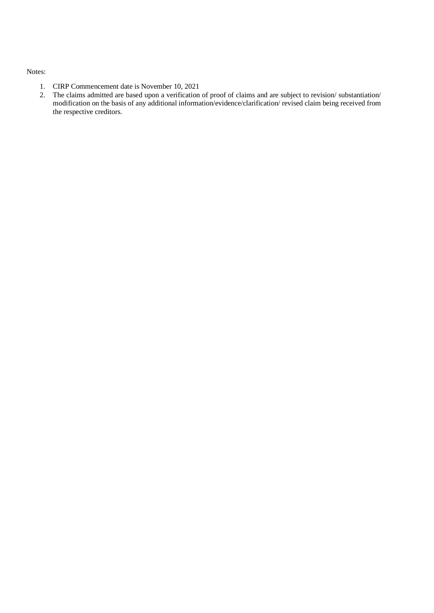- 1. CIRP Commencement date is November 10, 2021<br>2. The claims admitted are based upon a verification
- 2. The claims admitted are based upon a verification of proof of claims and are subject to revision/ substantiation/ modification on the basis of any additional information/evidence/clarification/ revised claim being received from the respective creditors.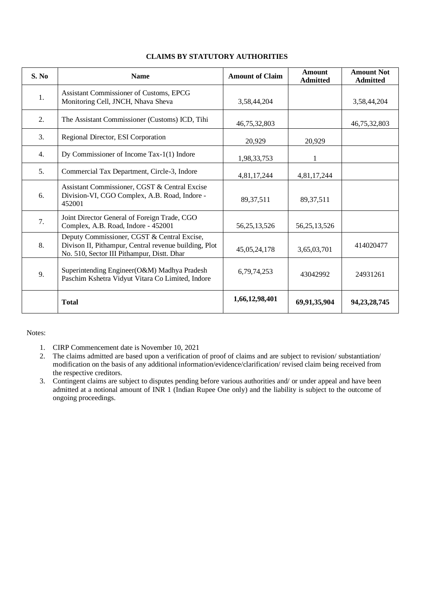| S. No | <b>Name</b>                                                                                                                                        | <b>Amount of Claim</b> | <b>Amount</b><br><b>Admitted</b> | <b>Amount Not</b><br><b>Admitted</b> |
|-------|----------------------------------------------------------------------------------------------------------------------------------------------------|------------------------|----------------------------------|--------------------------------------|
| 1.    | Assistant Commissioner of Customs, EPCG<br>Monitoring Cell, JNCH, Nhava Sheva                                                                      | 3,58,44,204            |                                  | 3,58,44,204                          |
| 2.    | The Assistant Commissioner (Customs) ICD, Tihi                                                                                                     | 46,75,32,803           |                                  | 46,75,32,803                         |
| 3.    | Regional Director, ESI Corporation                                                                                                                 | 20,929                 | 20,929                           |                                      |
| 4.    | Dy Commissioner of Income Tax-1(1) Indore                                                                                                          | 1,98,33,753            | 1                                |                                      |
| 5.    | Commercial Tax Department, Circle-3, Indore                                                                                                        | 4,81,17,244            | 4,81,17,244                      |                                      |
| 6.    | Assistant Commissioner, CGST & Central Excise<br>Division-VI, CGO Complex, A.B. Road, Indore -<br>452001                                           | 89, 37, 511            | 89, 37, 511                      |                                      |
| 7.    | Joint Director General of Foreign Trade, CGO<br>Complex, A.B. Road, Indore - 452001                                                                | 56, 25, 13, 526        | 56, 25, 13, 526                  |                                      |
| 8.    | Deputy Commissioner, CGST & Central Excise,<br>Divison II, Pithampur, Central revenue building, Plot<br>No. 510, Sector III Pithampur, Distt. Dhar | 45,05,24,178           | 3,65,03,701                      | 414020477                            |
| 9.    | Superintending Engineer(O&M) Madhya Pradesh<br>Paschim Kshetra Vidyut Vitara Co Limited, Indore                                                    | 6,79,74,253            | 43042992                         | 24931261                             |
|       | <b>Total</b>                                                                                                                                       | 1,66,12,98,401         | 69,91,35,904                     | 94, 23, 28, 745                      |

### **CLAIMS BY STATUTORY AUTHORITIES**

- 1. CIRP Commencement date is November 10, 2021
- 2. The claims admitted are based upon a verification of proof of claims and are subject to revision/ substantiation/ modification on the basis of any additional information/evidence/clarification/ revised claim being received from the respective creditors.
- 3. Contingent claims are subject to disputes pending before various authorities and/ or under appeal and have been admitted at a notional amount of INR 1 (Indian Rupee One only) and the liability is subject to the outcome of ongoing proceedings.